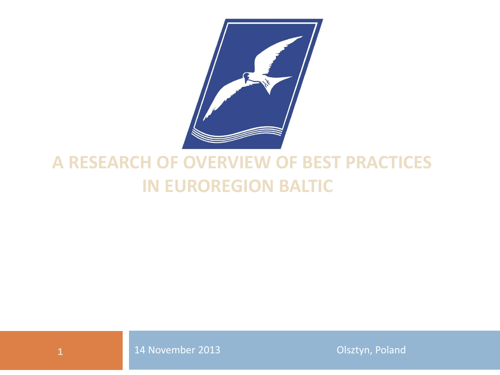

## **A RESEARCH OF OVERVIEW OF BEST PRACTICES IN EUROREGION BALTIC**



**1** 14 November 2013 **Olsztyn, Poland**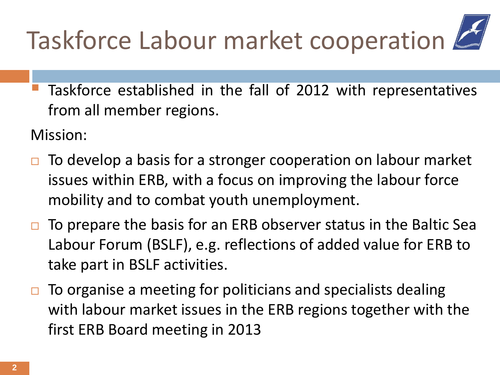## Taskforce Labour market cooperation

 Taskforce established in the fall of 2012 with representatives from all member regions.

Mission:

- To develop a basis for a stronger cooperation on labour market issues within ERB, with a focus on improving the labour force mobility and to combat youth unemployment.
- To prepare the basis for an ERB observer status in the Baltic Sea Labour Forum (BSLF), e.g. reflections of added value for ERB to take part in BSLF activities.
- To organise a meeting for politicians and specialists dealing with labour market issues in the ERB regions together with the first ERB Board meeting in 2013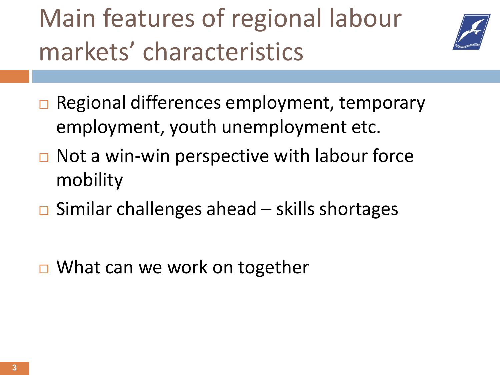Main features of regional labour markets' characteristics



- **□ Regional differences employment, temporary** employment, youth unemployment etc.
- $\Box$  Not a win-win perspective with labour force mobility
- $\Box$  Similar challenges ahead skills shortages
- **□ What can we work on together**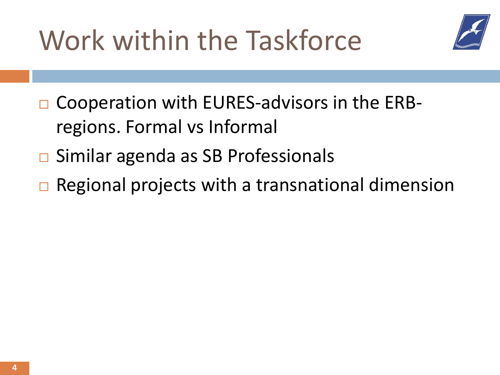Work within the Taskforce



- $\Box$  Cooperation with EURES-advisors in the ERBregions. Formal vs Informal
- $\Box$  Similar agenda as SB Professionals
- $\Box$  Regional projects with a transnational dimension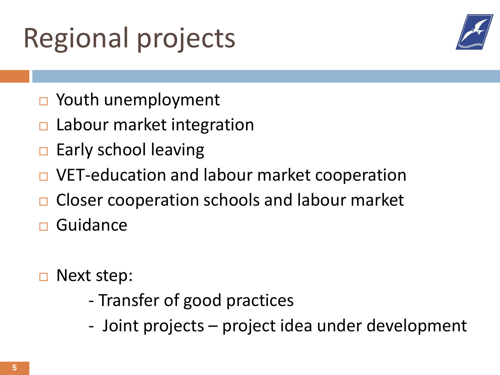## Regional projects



- □ Youth unemployment
- Labour market integration
- $\Box$  Early school leaving
- VET-education and labour market cooperation
- Closer cooperation schools and labour market
- Guidance
- Next step:
	- Transfer of good practices
	- Joint projects project idea under development